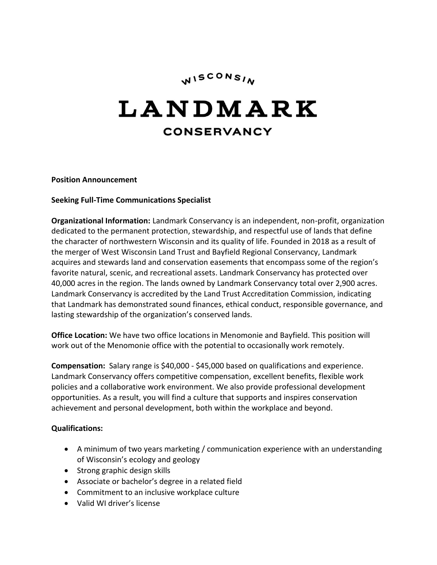# WISCONSIN

# LANDMARK **CONSERVANCY**

**Position Announcement**

#### **Seeking Full-Time Communications Specialist**

**Organizational Information:** Landmark Conservancy is an independent, non-profit, organization dedicated to the permanent protection, stewardship, and respectful use of lands that define the character of northwestern Wisconsin and its quality of life. Founded in 2018 as a result of the merger of West Wisconsin Land Trust and Bayfield Regional Conservancy, Landmark acquires and stewards land and conservation easements that encompass some of the region's favorite natural, scenic, and recreational assets. Landmark Conservancy has protected over 40,000 acres in the region. The lands owned by Landmark Conservancy total over 2,900 acres. Landmark Conservancy is accredited by the Land Trust Accreditation Commission, indicating that Landmark has demonstrated sound finances, ethical conduct, responsible governance, and lasting stewardship of the organization's conserved lands.

**Office Location:** We have two office locations in Menomonie and Bayfield. This position will work out of the Menomonie office with the potential to occasionally work remotely.

**Compensation:** Salary range is \$40,000 - \$45,000 based on qualifications and experience. Landmark Conservancy offers competitive compensation, excellent benefits, flexible work policies and a collaborative work environment. We also provide professional development opportunities. As a result, you will find a culture that supports and inspires conservation achievement and personal development, both within the workplace and beyond.

#### **Qualifications:**

- A minimum of two years marketing / communication experience with an understanding of Wisconsin's ecology and geology
- Strong graphic design skills
- Associate or bachelor's degree in a related field
- Commitment to an inclusive workplace culture
- Valid WI driver's license